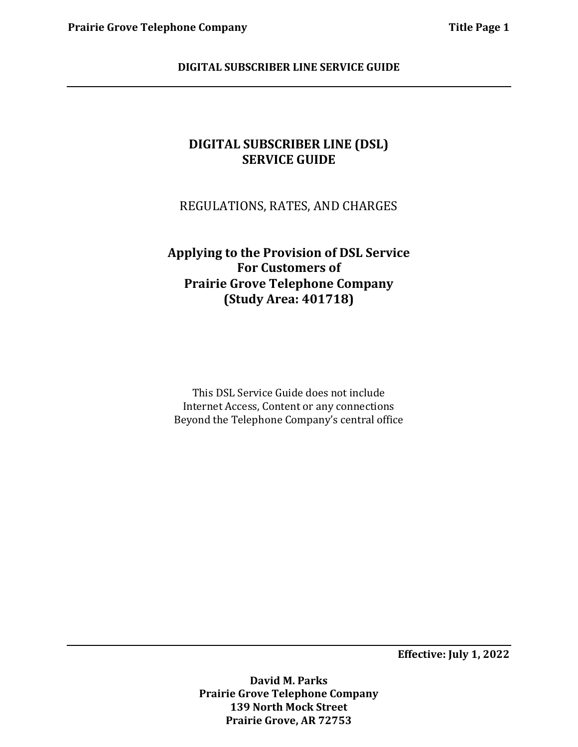REGULATIONS, RATES, AND CHARGES

# **Applying to the Provision of DSL Service For Customers of Prairie Grove Telephone Company (Study Area: 401718)**

This DSL Service Guide does not include Internet Access, Content or any connections Beyond the Telephone Company's central office

**Effective: July 1, 2022**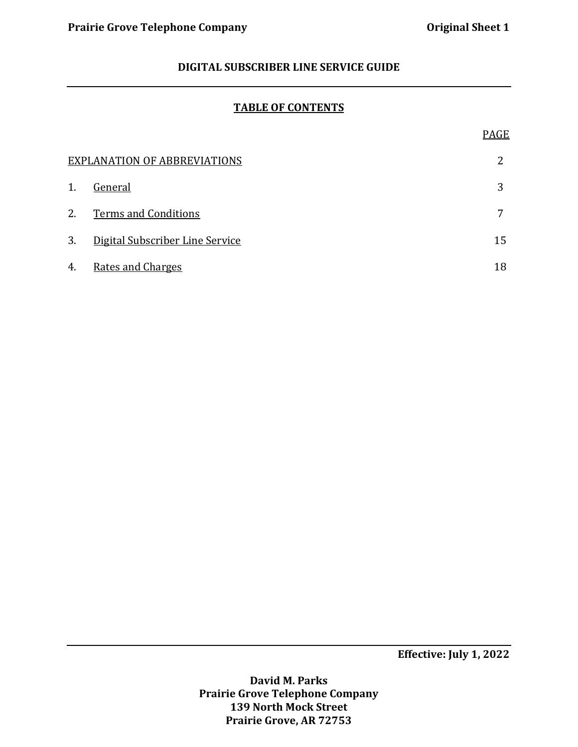#### **TABLE OF CONTENTS**

|                                     |                                 | PAGE |  |
|-------------------------------------|---------------------------------|------|--|
| <b>EXPLANATION OF ABBREVIATIONS</b> |                                 |      |  |
| 1.                                  | General                         | 3    |  |
| 2.                                  | <b>Terms and Conditions</b>     | 7    |  |
| 3.                                  | Digital Subscriber Line Service | 15   |  |
| 4.                                  | <b>Rates and Charges</b>        | 18   |  |

**Effective: July 1, 2022**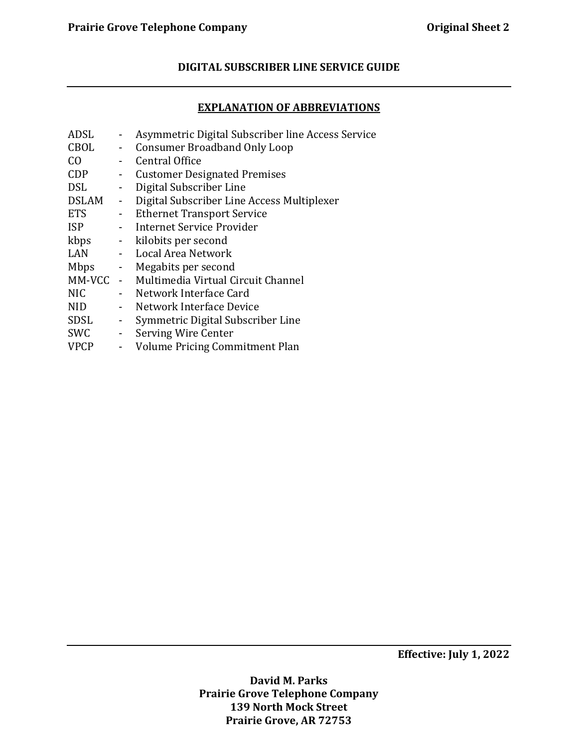# **EXPLANATION OF ABBREVIATIONS**

| ADSL           |                              | Asymmetric Digital Subscriber line Access Service |
|----------------|------------------------------|---------------------------------------------------|
| CBOL           | $\sim$                       | <b>Consumer Broadband Only Loop</b>               |
| C <sub>0</sub> |                              | <b>Central Office</b>                             |
| <b>CDP</b>     | $\sim$                       | <b>Customer Designated Premises</b>               |
| <b>DSL</b>     |                              | - Digital Subscriber Line                         |
| DSLAM          | $\blacksquare$               | Digital Subscriber Line Access Multiplexer        |
| <b>ETS</b>     | $\blacksquare$               | <b>Ethernet Transport Service</b>                 |
| <b>ISP</b>     |                              | - Internet Service Provider                       |
| kbps           | $\sim$                       | kilobits per second                               |
| LAN            |                              | - Local Area Network                              |
| Mbps           |                              | - Megabits per second                             |
|                |                              | MM-VCC - Multimedia Virtual Circuit Channel       |
| <b>NIC</b>     |                              | - Network Interface Card                          |
| <b>NID</b>     | $\blacksquare$               | Network Interface Device                          |
| SDSL           | $\blacksquare$               | Symmetric Digital Subscriber Line                 |
| <b>SWC</b>     | $\omega_{\rm c}$             | Serving Wire Center                               |
| <b>VPCP</b>    | $\qquad \qquad \blacksquare$ | Volume Pricing Commitment Plan                    |
|                |                              |                                                   |

**Effective: July 1, 2022**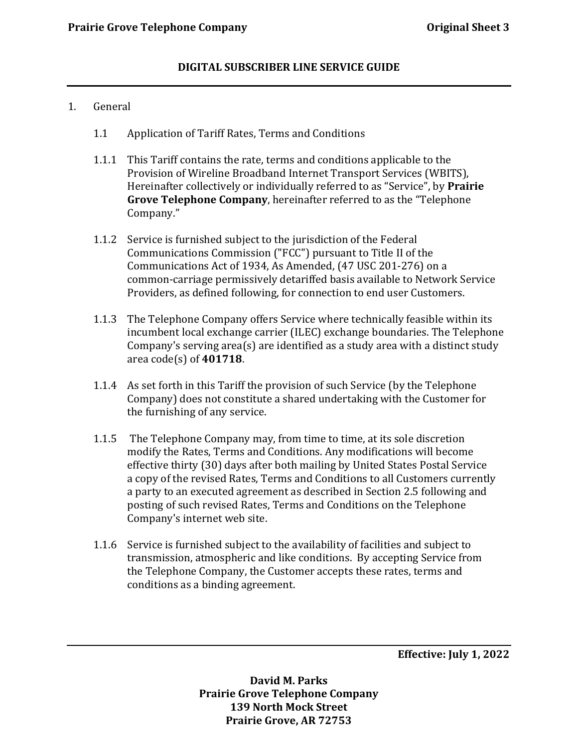#### 1. General

- 1.1 Application of Tariff Rates, Terms and Conditions
- 1.1.1 This Tariff contains the rate, terms and conditions applicable to the Provision of Wireline Broadband Internet Transport Services (WBITS), Hereinafter collectively or individually referred to as "Service", by **Prairie Grove Telephone Company**, hereinafter referred to as the "Telephone Company."
- 1.1.2 Service is furnished subject to the jurisdiction of the Federal Communications Commission ("FCC") pursuant to Title II of the Communications Act of 1934, As Amended, (47 USC 201-276) on a common-carriage permissively detariffed basis available to Network Service Providers, as defined following, for connection to end user Customers.
- 1.1.3 The Telephone Company offers Service where technically feasible within its incumbent local exchange carrier (ILEC) exchange boundaries. The Telephone Company's serving area(s) are identified as a study area with a distinct study area code(s) of **401718**.
- 1.1.4 As set forth in this Tariff the provision of such Service (by the Telephone Company) does not constitute a shared undertaking with the Customer for the furnishing of any service.
- 1.1.5 The Telephone Company may, from time to time, at its sole discretion modify the Rates, Terms and Conditions. Any modifications will become effective thirty (30) days after both mailing by United States Postal Service a copy of the revised Rates, Terms and Conditions to all Customers currently a party to an executed agreement as described in Section 2.5 following and posting of such revised Rates, Terms and Conditions on the Telephone Company's internet web site.
- 1.1.6 Service is furnished subject to the availability of facilities and subject to transmission, atmospheric and like conditions. By accepting Service from the Telephone Company, the Customer accepts these rates, terms and conditions as a binding agreement.

**Effective: July 1, 2022**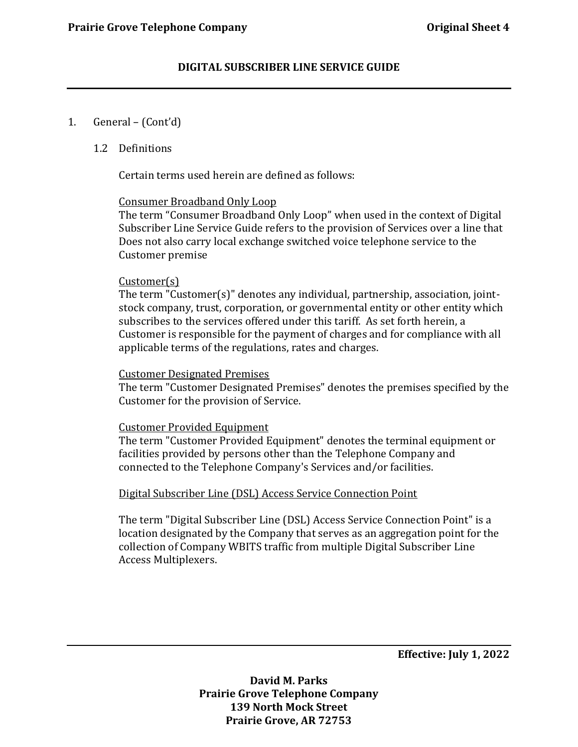#### 1. General – (Cont'd)

#### 1.2 Definitions

Certain terms used herein are defined as follows:

#### Consumer Broadband Only Loop

The term "Consumer Broadband Only Loop" when used in the context of Digital Subscriber Line Service Guide refers to the provision of Services over a line that Does not also carry local exchange switched voice telephone service to the Customer premise

#### Customer(s)

The term "Customer(s)" denotes any individual, partnership, association, jointstock company, trust, corporation, or governmental entity or other entity which subscribes to the services offered under this tariff. As set forth herein, a Customer is responsible for the payment of charges and for compliance with all applicable terms of the regulations, rates and charges.

#### Customer Designated Premises

The term "Customer Designated Premises" denotes the premises specified by the Customer for the provision of Service.

#### Customer Provided Equipment

The term "Customer Provided Equipment" denotes the terminal equipment or facilities provided by persons other than the Telephone Company and connected to the Telephone Company's Services and/or facilities.

# Digital Subscriber Line (DSL) Access Service Connection Point

The term "Digital Subscriber Line (DSL) Access Service Connection Point" is a location designated by the Company that serves as an aggregation point for the collection of Company WBITS traffic from multiple Digital Subscriber Line Access Multiplexers.

**Effective: July 1, 2022**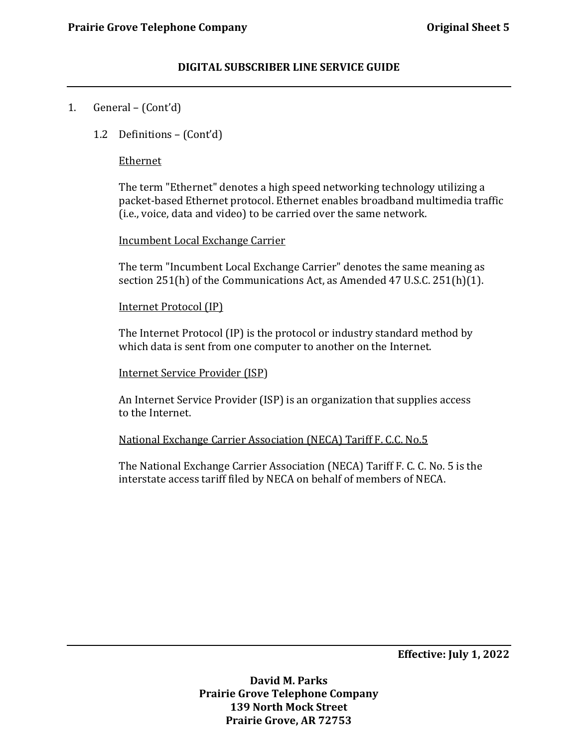# 1. General – (Cont'd)

1.2 Definitions – (Cont'd)

### Ethernet

The term "Ethernet" denotes a high speed networking technology utilizing a packet-based Ethernet protocol. Ethernet enables broadband multimedia traffic (i.e., voice, data and video) to be carried over the same network.

#### Incumbent Local Exchange Carrier

The term "Incumbent Local Exchange Carrier" denotes the same meaning as section 251(h) of the Communications Act, as Amended 47 U.S.C. 251(h)(1).

#### Internet Protocol (IP)

The Internet Protocol (IP) is the protocol or industry standard method by which data is sent from one computer to another on the Internet.

#### Internet Service Provider (ISP)

An Internet Service Provider (ISP) is an organization that supplies access to the Internet.

#### National Exchange Carrier Association (NECA) Tariff F. C.C. No.5

The National Exchange Carrier Association (NECA) Tariff F. C. C. No. 5 is the interstate access tariff filed by NECA on behalf of members of NECA.

**Effective: July 1, 2022**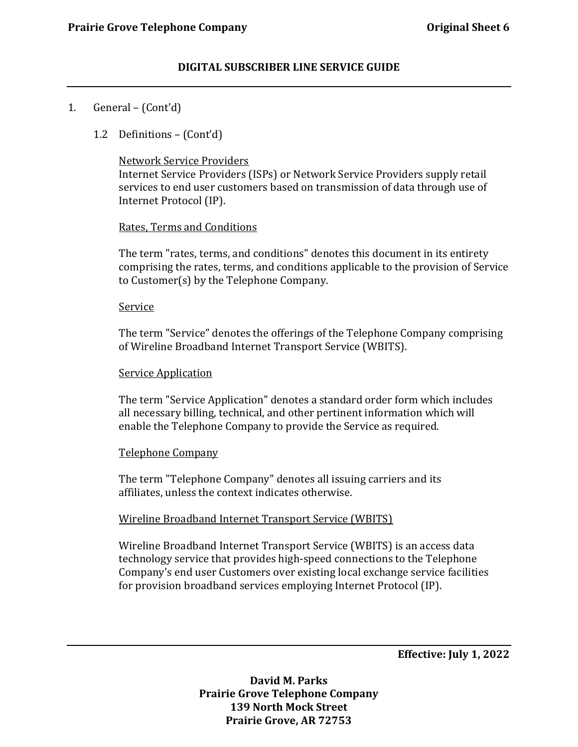# 1. General – (Cont'd)

1.2 Definitions – (Cont'd)

### Network Service Providers

Internet Service Providers (ISPs) or Network Service Providers supply retail services to end user customers based on transmission of data through use of Internet Protocol (IP).

# Rates, Terms and Conditions

The term "rates, terms, and conditions" denotes this document in its entirety comprising the rates, terms, and conditions applicable to the provision of Service to Customer(s) by the Telephone Company.

#### Service

The term "Service" denotes the offerings of the Telephone Company comprising of Wireline Broadband Internet Transport Service (WBITS).

### Service Application

The term "Service Application" denotes a standard order form which includes all necessary billing, technical, and other pertinent information which will enable the Telephone Company to provide the Service as required.

# Telephone Company

The term "Telephone Company" denotes all issuing carriers and its affiliates, unless the context indicates otherwise.

# Wireline Broadband Internet Transport Service (WBITS)

Wireline Broadband Internet Transport Service (WBITS) is an access data technology service that provides high-speed connections to the Telephone Company's end user Customers over existing local exchange service facilities for provision broadband services employing Internet Protocol (IP).

**Effective: July 1, 2022**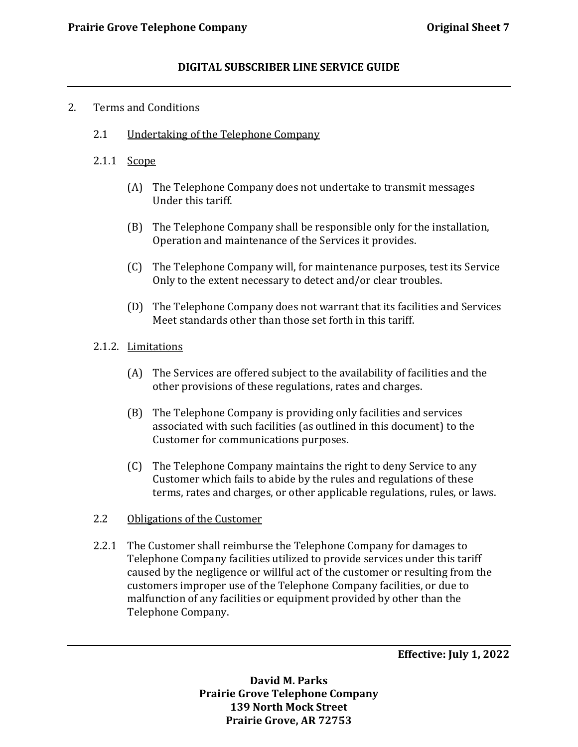### 2. Terms and Conditions

- 2.1 Undertaking of the Telephone Company
- 2.1.1 Scope
	- (A) The Telephone Company does not undertake to transmit messages Under this tariff.
	- (B) The Telephone Company shall be responsible only for the installation, Operation and maintenance of the Services it provides.
	- (C) The Telephone Company will, for maintenance purposes, test its Service Only to the extent necessary to detect and/or clear troubles.
	- (D) The Telephone Company does not warrant that its facilities and Services Meet standards other than those set forth in this tariff.
- 2.1.2. Limitations
	- (A) The Services are offered subject to the availability of facilities and the other provisions of these regulations, rates and charges.
	- (B) The Telephone Company is providing only facilities and services associated with such facilities (as outlined in this document) to the Customer for communications purposes.
	- (C) The Telephone Company maintains the right to deny Service to any Customer which fails to abide by the rules and regulations of these terms, rates and charges, or other applicable regulations, rules, or laws.
- 2.2 Obligations of the Customer
- 2.2.1 The Customer shall reimburse the Telephone Company for damages to Telephone Company facilities utilized to provide services under this tariff caused by the negligence or willful act of the customer or resulting from the customers improper use of the Telephone Company facilities, or due to malfunction of any facilities or equipment provided by other than the Telephone Company.

**Effective: July 1, 2022**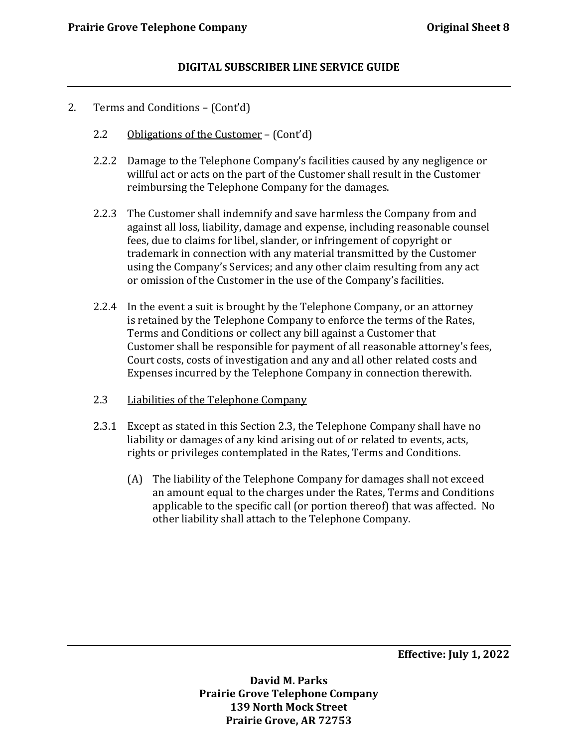- 2. Terms and Conditions (Cont'd)
	- 2.2 Obligations of the Customer (Cont'd)
	- 2.2.2 Damage to the Telephone Company's facilities caused by any negligence or willful act or acts on the part of the Customer shall result in the Customer reimbursing the Telephone Company for the damages.
	- 2.2.3 The Customer shall indemnify and save harmless the Company from and against all loss, liability, damage and expense, including reasonable counsel fees, due to claims for libel, slander, or infringement of copyright or trademark in connection with any material transmitted by the Customer using the Company's Services; and any other claim resulting from any act or omission of the Customer in the use of the Company's facilities.
	- 2.2.4 In the event a suit is brought by the Telephone Company, or an attorney is retained by the Telephone Company to enforce the terms of the Rates, Terms and Conditions or collect any bill against a Customer that Customer shall be responsible for payment of all reasonable attorney's fees, Court costs, costs of investigation and any and all other related costs and Expenses incurred by the Telephone Company in connection therewith.
	- 2.3 Liabilities of the Telephone Company
	- 2.3.1 Except as stated in this Section 2.3, the Telephone Company shall have no liability or damages of any kind arising out of or related to events, acts, rights or privileges contemplated in the Rates, Terms and Conditions.
		- (A) The liability of the Telephone Company for damages shall not exceed an amount equal to the charges under the Rates, Terms and Conditions applicable to the specific call (or portion thereof) that was affected. No other liability shall attach to the Telephone Company.

**Effective: July 1, 2022**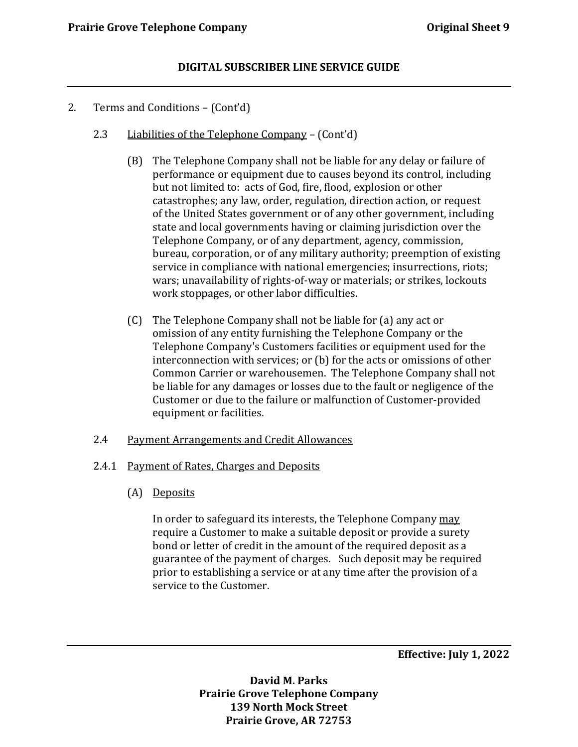- 2. Terms and Conditions (Cont'd)
	- 2.3 Liabilities of the Telephone Company (Cont'd)
		- (B) The Telephone Company shall not be liable for any delay or failure of performance or equipment due to causes beyond its control, including but not limited to: acts of God, fire, flood, explosion or other catastrophes; any law, order, regulation, direction action, or request of the United States government or of any other government, including state and local governments having or claiming jurisdiction over the Telephone Company, or of any department, agency, commission, bureau, corporation, or of any military authority; preemption of existing service in compliance with national emergencies; insurrections, riots; wars; unavailability of rights-of-way or materials; or strikes, lockouts work stoppages, or other labor difficulties.
		- (C) The Telephone Company shall not be liable for (a) any act or omission of any entity furnishing the Telephone Company or the Telephone Company's Customers facilities or equipment used for the interconnection with services; or (b) for the acts or omissions of other Common Carrier or warehousemen. The Telephone Company shall not be liable for any damages or losses due to the fault or negligence of the Customer or due to the failure or malfunction of Customer-provided equipment or facilities.

# 2.4 Payment Arrangements and Credit Allowances

#### 2.4.1 Payment of Rates, Charges and Deposits

(A) Deposits

In order to safeguard its interests, the Telephone Company may require a Customer to make a suitable deposit or provide a surety bond or letter of credit in the amount of the required deposit as a guarantee of the payment of charges. Such deposit may be required prior to establishing a service or at any time after the provision of a service to the Customer.

**Effective: July 1, 2022**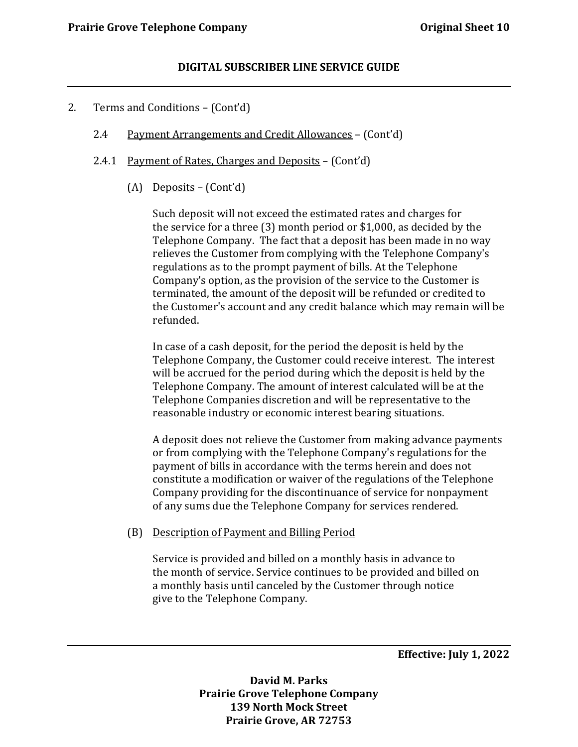- 2. Terms and Conditions (Cont'd)
	- 2.4 Payment Arrangements and Credit Allowances (Cont'd)
	- 2.4.1 Payment of Rates, Charges and Deposits (Cont'd)
		- (A) Deposits (Cont'd)

Such deposit will not exceed the estimated rates and charges for the service for a three (3) month period or \$1,000, as decided by the Telephone Company. The fact that a deposit has been made in no way relieves the Customer from complying with the Telephone Company's regulations as to the prompt payment of bills. At the Telephone Company's option, as the provision of the service to the Customer is terminated, the amount of the deposit will be refunded or credited to the Customer's account and any credit balance which may remain will be refunded.

In case of a cash deposit, for the period the deposit is held by the Telephone Company, the Customer could receive interest. The interest will be accrued for the period during which the deposit is held by the Telephone Company. The amount of interest calculated will be at the Telephone Companies discretion and will be representative to the reasonable industry or economic interest bearing situations.

A deposit does not relieve the Customer from making advance payments or from complying with the Telephone Company's regulations for the payment of bills in accordance with the terms herein and does not constitute a modification or waiver of the regulations of the Telephone Company providing for the discontinuance of service for nonpayment of any sums due the Telephone Company for services rendered.

#### (B) Description of Payment and Billing Period

Service is provided and billed on a monthly basis in advance to the month of service. Service continues to be provided and billed on a monthly basis until canceled by the Customer through notice give to the Telephone Company.

**Effective: July 1, 2022**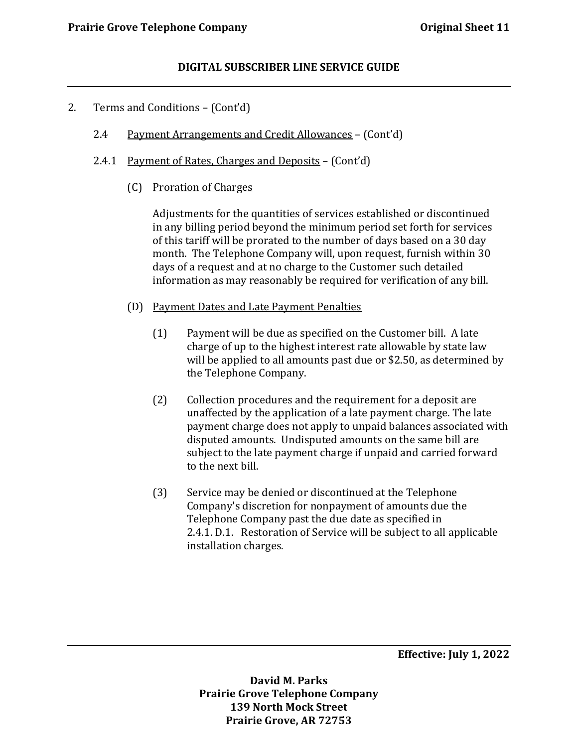- 2. Terms and Conditions (Cont'd)
	- 2.4 Payment Arrangements and Credit Allowances (Cont'd)
	- 2.4.1 Payment of Rates, Charges and Deposits (Cont'd)
		- (C) Proration of Charges

Adjustments for the quantities of services established or discontinued in any billing period beyond the minimum period set forth for services of this tariff will be prorated to the number of days based on a 30 day month. The Telephone Company will, upon request, furnish within 30 days of a request and at no charge to the Customer such detailed information as may reasonably be required for verification of any bill.

- (D) Payment Dates and Late Payment Penalties
	- (1) Payment will be due as specified on the Customer bill. A late charge of up to the highest interest rate allowable by state law will be applied to all amounts past due or \$2.50, as determined by the Telephone Company.
	- (2) Collection procedures and the requirement for a deposit are unaffected by the application of a late payment charge. The late payment charge does not apply to unpaid balances associated with disputed amounts. Undisputed amounts on the same bill are subject to the late payment charge if unpaid and carried forward to the next bill.
	- (3) Service may be denied or discontinued at the Telephone Company's discretion for nonpayment of amounts due the Telephone Company past the due date as specified in 2.4.1. D.1. Restoration of Service will be subject to all applicable installation charges.

**Effective: July 1, 2022**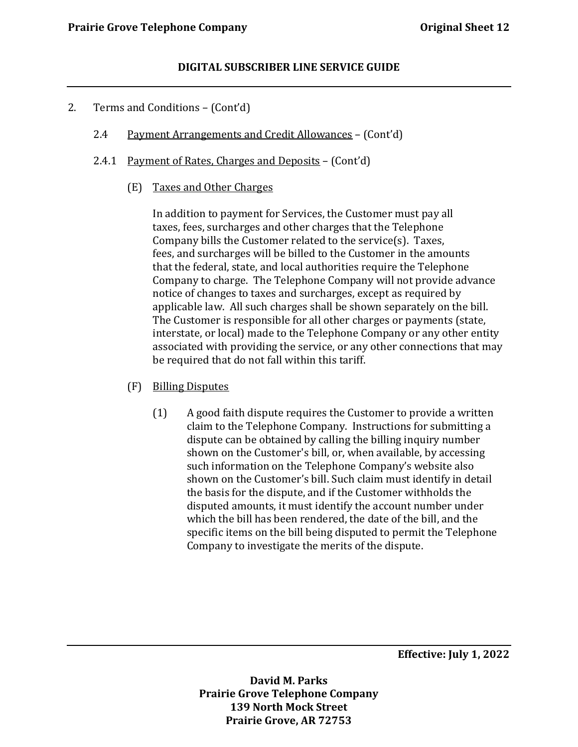- 2. Terms and Conditions (Cont'd)
	- 2.4 Payment Arrangements and Credit Allowances (Cont'd)
	- 2.4.1 Payment of Rates, Charges and Deposits (Cont'd)
		- (E) Taxes and Other Charges

In addition to payment for Services, the Customer must pay all taxes, fees, surcharges and other charges that the Telephone Company bills the Customer related to the service(s). Taxes, fees, and surcharges will be billed to the Customer in the amounts that the federal, state, and local authorities require the Telephone Company to charge. The Telephone Company will not provide advance notice of changes to taxes and surcharges, except as required by applicable law. All such charges shall be shown separately on the bill. The Customer is responsible for all other charges or payments (state, interstate, or local) made to the Telephone Company or any other entity associated with providing the service, or any other connections that may be required that do not fall within this tariff.

- (F) Billing Disputes
	- (1) A good faith dispute requires the Customer to provide a written claim to the Telephone Company. Instructions for submitting a dispute can be obtained by calling the billing inquiry number shown on the Customer's bill, or, when available, by accessing such information on the Telephone Company's website also shown on the Customer's bill. Such claim must identify in detail the basis for the dispute, and if the Customer withholds the disputed amounts, it must identify the account number under which the bill has been rendered, the date of the bill, and the specific items on the bill being disputed to permit the Telephone Company to investigate the merits of the dispute.

**Effective: July 1, 2022**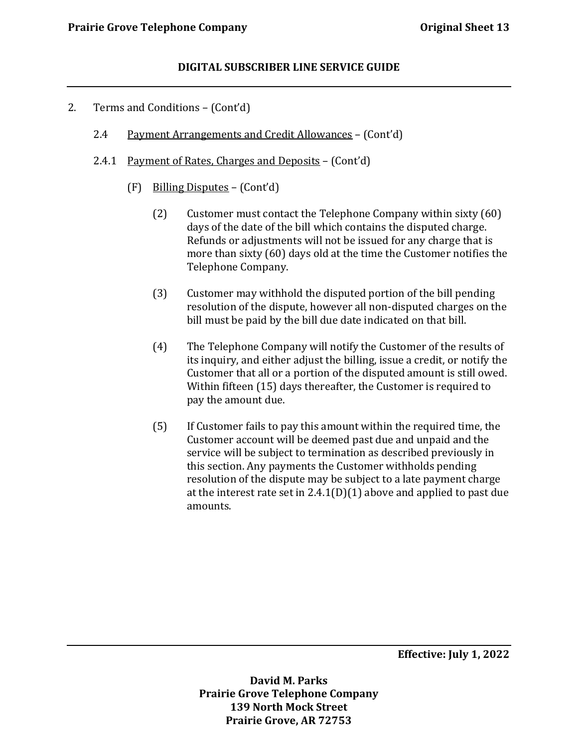- 2. Terms and Conditions (Cont'd)
	- 2.4 Payment Arrangements and Credit Allowances (Cont'd)
	- 2.4.1 Payment of Rates, Charges and Deposits (Cont'd)
		- (F) Billing Disputes (Cont'd)
			- (2) Customer must contact the Telephone Company within sixty (60) days of the date of the bill which contains the disputed charge. Refunds or adjustments will not be issued for any charge that is more than sixty (60) days old at the time the Customer notifies the Telephone Company.
			- (3) Customer may withhold the disputed portion of the bill pending resolution of the dispute, however all non-disputed charges on the bill must be paid by the bill due date indicated on that bill.
			- (4) The Telephone Company will notify the Customer of the results of its inquiry, and either adjust the billing, issue a credit, or notify the Customer that all or a portion of the disputed amount is still owed. Within fifteen (15) days thereafter, the Customer is required to pay the amount due.
			- (5) If Customer fails to pay this amount within the required time, the Customer account will be deemed past due and unpaid and the service will be subject to termination as described previously in this section. Any payments the Customer withholds pending resolution of the dispute may be subject to a late payment charge at the interest rate set in  $2.4.1(D)(1)$  above and applied to past due amounts.

**Effective: July 1, 2022**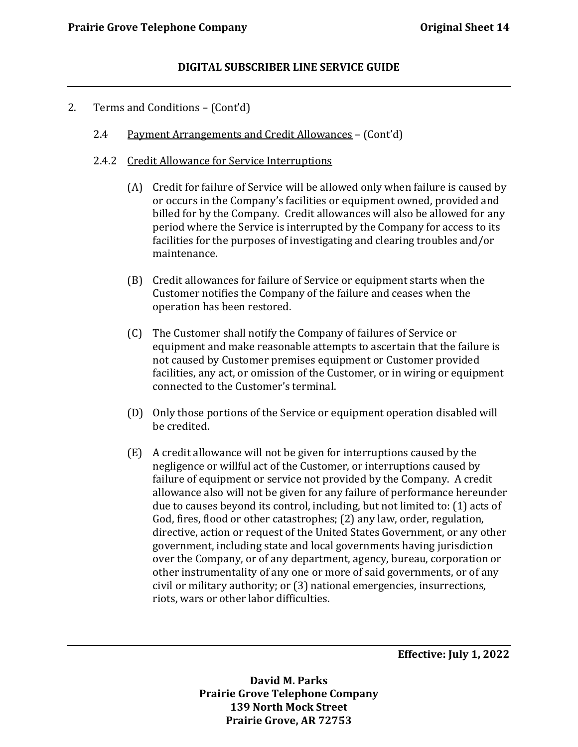- 2. Terms and Conditions (Cont'd)
	- 2.4 Payment Arrangements and Credit Allowances (Cont'd)
	- 2.4.2 Credit Allowance for Service Interruptions
		- (A) Credit for failure of Service will be allowed only when failure is caused by or occurs in the Company's facilities or equipment owned, provided and billed for by the Company. Credit allowances will also be allowed for any period where the Service is interrupted by the Company for access to its facilities for the purposes of investigating and clearing troubles and/or maintenance.
		- (B) Credit allowances for failure of Service or equipment starts when the Customer notifies the Company of the failure and ceases when the operation has been restored.
		- (C) The Customer shall notify the Company of failures of Service or equipment and make reasonable attempts to ascertain that the failure is not caused by Customer premises equipment or Customer provided facilities, any act, or omission of the Customer, or in wiring or equipment connected to the Customer's terminal.
		- (D) Only those portions of the Service or equipment operation disabled will be credited.
		- (E) A credit allowance will not be given for interruptions caused by the negligence or willful act of the Customer, or interruptions caused by failure of equipment or service not provided by the Company. A credit allowance also will not be given for any failure of performance hereunder due to causes beyond its control, including, but not limited to: (1) acts of God, fires, flood or other catastrophes; (2) any law, order, regulation, directive, action or request of the United States Government, or any other government, including state and local governments having jurisdiction over the Company, or of any department, agency, bureau, corporation or other instrumentality of any one or more of said governments, or of any civil or military authority; or (3) national emergencies, insurrections, riots, wars or other labor difficulties.

**Effective: July 1, 2022**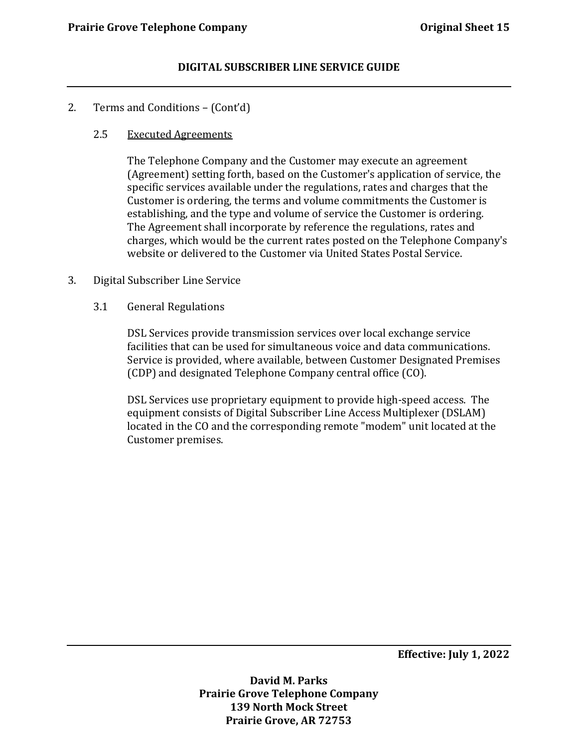- 2. Terms and Conditions (Cont'd)
	- 2.5 Executed Agreements

The Telephone Company and the Customer may execute an agreement (Agreement) setting forth, based on the Customer's application of service, the specific services available under the regulations, rates and charges that the Customer is ordering, the terms and volume commitments the Customer is establishing, and the type and volume of service the Customer is ordering. The Agreement shall incorporate by reference the regulations, rates and charges, which would be the current rates posted on the Telephone Company's website or delivered to the Customer via United States Postal Service.

- 3. Digital Subscriber Line Service
	- 3.1 General Regulations

DSL Services provide transmission services over local exchange service facilities that can be used for simultaneous voice and data communications. Service is provided, where available, between Customer Designated Premises (CDP) and designated Telephone Company central office (CO).

DSL Services use proprietary equipment to provide high-speed access. The equipment consists of Digital Subscriber Line Access Multiplexer (DSLAM) located in the CO and the corresponding remote "modem" unit located at the Customer premises.

**Effective: July 1, 2022**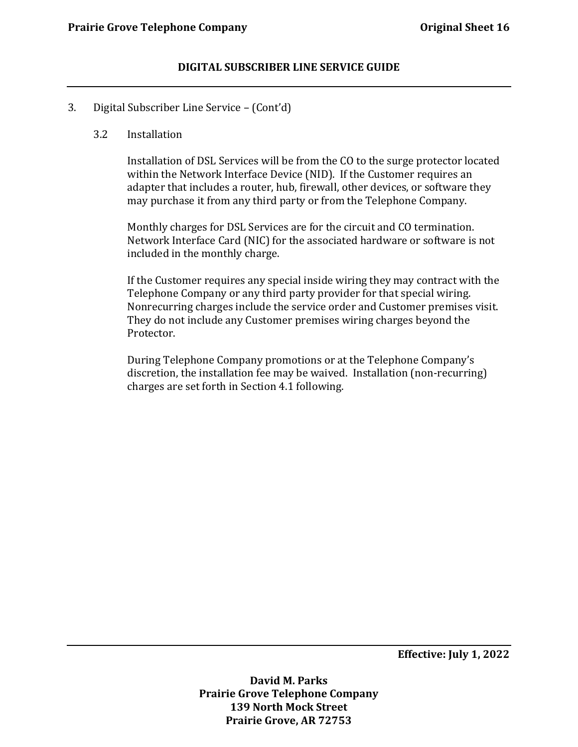#### 3. Digital Subscriber Line Service – (Cont'd)

#### 3.2 Installation

Installation of DSL Services will be from the CO to the surge protector located within the Network Interface Device (NID). If the Customer requires an adapter that includes a router, hub, firewall, other devices, or software they may purchase it from any third party or from the Telephone Company.

Monthly charges for DSL Services are for the circuit and CO termination. Network Interface Card (NIC) for the associated hardware or software is not included in the monthly charge.

If the Customer requires any special inside wiring they may contract with the Telephone Company or any third party provider for that special wiring. Nonrecurring charges include the service order and Customer premises visit. They do not include any Customer premises wiring charges beyond the Protector.

During Telephone Company promotions or at the Telephone Company's discretion, the installation fee may be waived. Installation (non-recurring) charges are set forth in Section 4.1 following.

**Effective: July 1, 2022**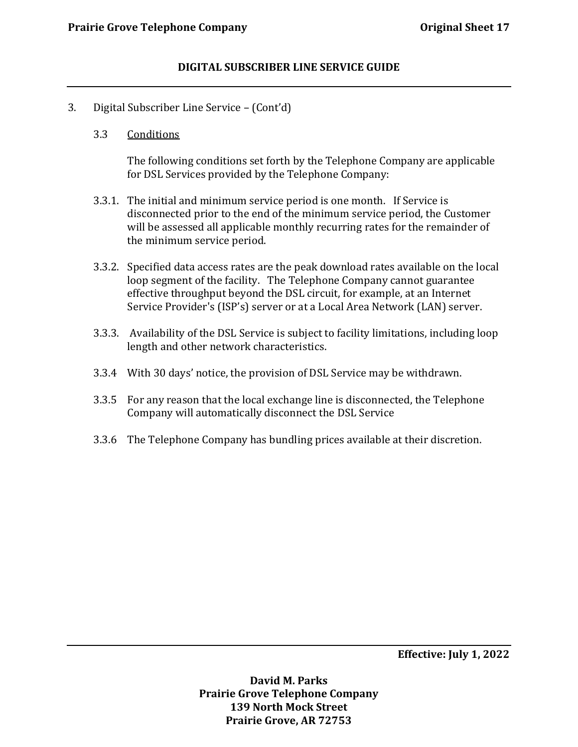- 3. Digital Subscriber Line Service (Cont'd)
	- 3.3 Conditions

The following conditions set forth by the Telephone Company are applicable for DSL Services provided by the Telephone Company:

- 3.3.1. The initial and minimum service period is one month. If Service is disconnected prior to the end of the minimum service period, the Customer will be assessed all applicable monthly recurring rates for the remainder of the minimum service period.
- 3.3.2. Specified data access rates are the peak download rates available on the local loop segment of the facility. The Telephone Company cannot guarantee effective throughput beyond the DSL circuit, for example, at an Internet Service Provider's (ISP's) server or at a Local Area Network (LAN) server.
- 3.3.3. Availability of the DSL Service is subject to facility limitations, including loop length and other network characteristics.
- 3.3.4 With 30 days' notice, the provision of DSL Service may be withdrawn.
- 3.3.5 For any reason that the local exchange line is disconnected, the Telephone Company will automatically disconnect the DSL Service
- 3.3.6 The Telephone Company has bundling prices available at their discretion.

**Effective: July 1, 2022**